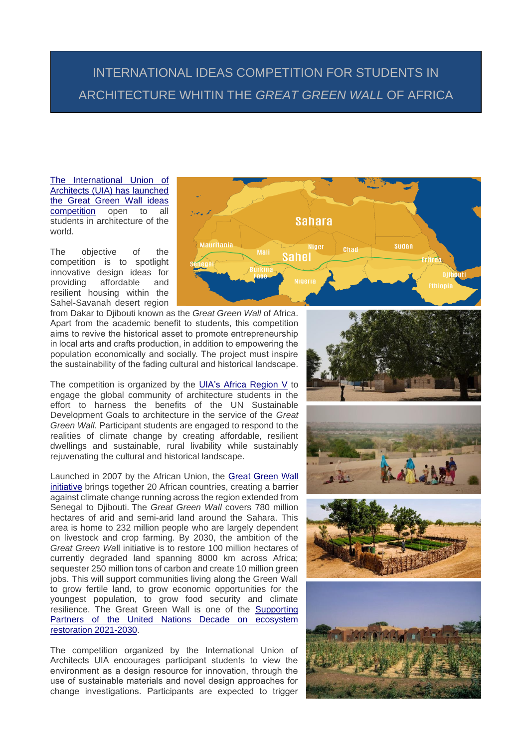## INTERNATIONAL IDEAS COMPETITION FOR STUDENTS IN ARCHITECTURE WHITIN THE *GREAT GREEN WALL* OF AFRICA

[The International Union of](https://www.uia-architectes.org/en/competition/great-green-wall-single-stage-student-ideas-competition/)  [Architects \(UIA\) has launched](https://www.uia-architectes.org/en/competition/great-green-wall-single-stage-student-ideas-competition/)  [the Great Green Wall ideas](https://www.uia-architectes.org/en/competition/great-green-wall-single-stage-student-ideas-competition/)  [competition](https://www.uia-architectes.org/en/competition/great-green-wall-single-stage-student-ideas-competition/) open to all students in architecture of the world.

The objective of the competition is to spotlight innovative design ideas for providing affordable and resilient housing within the Sahel-Savanah desert region



from Dakar to Djibouti known as the *Great Green Wall* of Africa. Apart from the academic benefit to students, this competition aims to revive the historical asset to promote entrepreneurship in local arts and crafts production, in addition to empowering the population economically and socially. The project must inspire the sustainability of the fading cultural and historical landscape.

The competition is organized by the [UIA's Africa Region V](https://www.uia-architectes.org/en/about/member-sections/) to engage the global community of architecture students in the effort to harness the benefits of the UN Sustainable Development Goals to architecture in the service of the *Great Green Wall*. Participant students are engaged to respond to the realities of climate change by creating affordable, resilient dwellings and sustainable, rural livability while sustainably rejuvenating the cultural and historical landscape.

Launched in 2007 by the African Union, the [Great Green Wall](https://www.greatgreenwall.org/about-great-green-wall)  [initiative](https://www.greatgreenwall.org/about-great-green-wall) brings together 20 African countries, creating a barrier against climate change running across the region extended from Senegal to Djibouti. The *Great Green Wall* covers 780 million hectares of arid and semi-arid land around the Sahara. This area is home to 232 million people who are largely dependent on livestock and crop farming. By 2030, the ambition of the *Great Green Wa*ll initiative is to restore 100 million hectares of currently degraded land spanning 8000 km across Africa; sequester 250 million tons of carbon and create 10 million green jobs. This will support communities living along the Green Wall to grow fertile land, to grow economic opportunities for the youngest population, to grow food security and climate resilience. The Great Green Wall is one of the [Supporting](https://www.decadeonrestoration.org/partners)  [Partners of the United Nations Decade on ecosystem](https://www.decadeonrestoration.org/partners)  [restoration 2021-2030.](https://www.decadeonrestoration.org/partners)

The competition organized by the International Union of Architects UIA encourages participant students to view the environment as a design resource for innovation, through the use of sustainable materials and novel design approaches for change investigations. Participants are expected to trigger